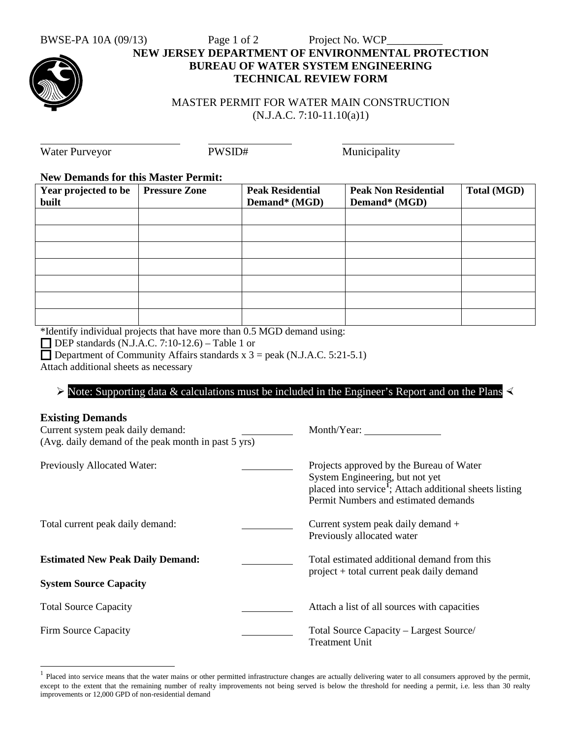## BWSE-PA 10A (09/13) Page 1 of 2 Project No. WCP **NEW JERSEY DEPARTMENT OF ENVIRONMENTAL PROTECTION BUREAU OF WATER SYSTEM ENGINEERING TECHNICAL REVIEW FORM**

MASTER PERMIT FOR WATER MAIN CONSTRUCTION (N.J.A.C. 7:10-11.10(a)1)

| <b>Water Purveyor</b>                      | PWSID#               |                                          | Municipality                                 |                    |  |
|--------------------------------------------|----------------------|------------------------------------------|----------------------------------------------|--------------------|--|
| <b>New Demands for this Master Permit:</b> |                      |                                          |                                              |                    |  |
| Year projected to be<br>built              | <b>Pressure Zone</b> | <b>Peak Residential</b><br>Demand* (MGD) | <b>Peak Non Residential</b><br>Demand* (MGD) | <b>Total (MGD)</b> |  |
|                                            |                      |                                          |                                              |                    |  |
|                                            |                      |                                          |                                              |                    |  |
|                                            |                      |                                          |                                              |                    |  |
|                                            |                      |                                          |                                              |                    |  |
|                                            |                      |                                          |                                              |                    |  |
|                                            |                      |                                          |                                              |                    |  |

\*Identify individual projects that have more than 0.5 MGD demand using:

 $\Box$  DEP standards (N.J.A.C. 7:10-12.6) – Table 1 or

Department of Community Affairs standards  $x$  3 = peak (N.J.A.C. 5:21-5.1)

Attach additional sheets as necessary

## $\triangleright$  Note: Supporting data & calculations must be included in the Engineer's Report and on the Plans

## **Existing Demands**

| <b>DADUNG D CHRIST</b><br>Current system peak daily demand:<br>(Avg. daily demand of the peak month in past 5 yrs) | Month/Year:                                                                                                                                                                                |
|--------------------------------------------------------------------------------------------------------------------|--------------------------------------------------------------------------------------------------------------------------------------------------------------------------------------------|
| Previously Allocated Water:                                                                                        | Projects approved by the Bureau of Water<br>System Engineering, but not yet<br>placed into service <sup>1</sup> ; Attach additional sheets listing<br>Permit Numbers and estimated demands |
| Total current peak daily demand:                                                                                   | Current system peak daily demand +<br>Previously allocated water                                                                                                                           |
| <b>Estimated New Peak Daily Demand:</b><br><b>System Source Capacity</b>                                           | Total estimated additional demand from this<br>project + total current peak daily demand                                                                                                   |
|                                                                                                                    |                                                                                                                                                                                            |
| <b>Total Source Capacity</b>                                                                                       | Attach a list of all sources with capacities                                                                                                                                               |
| Firm Source Capacity                                                                                               | Total Source Capacity – Largest Source/<br>Treatment Unit                                                                                                                                  |

<span id="page-0-0"></span>Placed into service means that the water mains or other permitted infrastructure changes are actually delivering water to all consumers approved by the permit, except to the extent that the remaining number of realty improvements not being served is below the threshold for needing a permit, i.e. less than 30 realty improvements or 12,000 GPD of non-residential demand